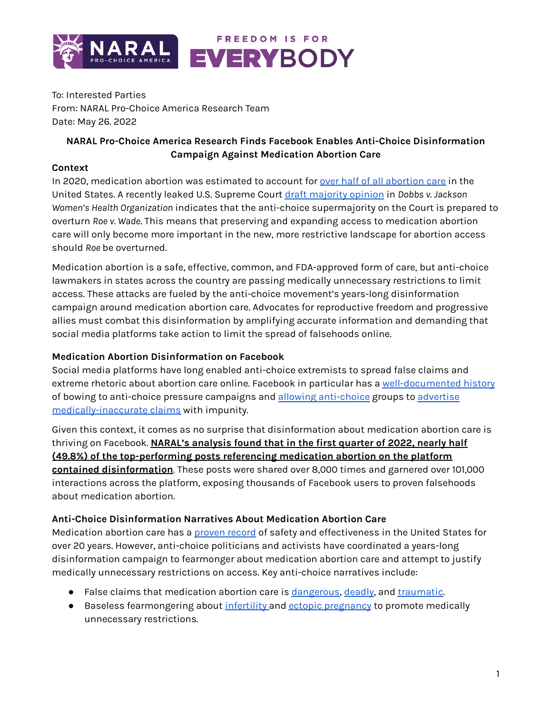

To: Interested Parties From: NARAL Pro-Choice America Research Team Date: May 26. 2022

# **NARAL Pro-Choice America Research Finds Facebook Enables Anti-Choice Disinformation Campaign Against Medication Abortion Care**

### **Context**

In 2020, medication abortion was estimated to account for over half of all [abortion](https://www.guttmacher.org/article/2022/02/medication-abortion-now-accounts-more-half-all-us-abortions) care in the United States. A recently leaked U.S. Supreme Court draft [majority](https://www.politico.com/news/2022/05/02/supreme-court-abortion-draft-opinion-00029473) opinion in *Dobbs v. Jackson Women's Health Organization* indicates that the anti-choice supermajority on the Court is prepared to overturn *Roe v. Wade*. This means that preserving and expanding access to medication abortion care will only become more important in the new, more restrictive landscape for abortion access should *Roe* be overturned.

Medication abortion is a safe, effective, common, and FDA-approved form of care, but anti-choice lawmakers in states across the country are passing medically unnecessary restrictions to limit access. These attacks are fueled by the anti-choice movement's years-long disinformation campaign around medication abortion care. Advocates for reproductive freedom and progressive allies must combat this disinformation by amplifying accurate information and demanding that social media platforms take action to limit the spread of falsehoods online.

## **Medication Abortion Disinformation on Facebook**

Social media platforms have long enabled anti-choice extremists to spread false claims and extreme rhetoric about abortion care online. Facebook in particular has a [well-documented](https://www.businessinsider.com/zuckerberg-caved-to-republican-politicians-abortion-misinformation-video-facebook-papers-2021-10) history of bowing to [anti-choice](https://www.thedailybeast.com/facebook-runs-more-abortion-reversal-ads-after-promising-to-investigate) pressure campaigns and allowing anti-choice groups to [advertise](https://www.thedailybeast.com/facebook-is-raking-it-in-with-anti-abortion-ads-from-live-action) [medically-inaccurate](https://www.thedailybeast.com/facebook-is-raking-it-in-with-anti-abortion-ads-from-live-action) claims with impunity.

Given this context, it comes as no surprise that disinformation about medication abortion care is thriving on Facebook. **NARAL's analysis found that in the first quarter of 2022, nearly half (49.8%) of the top-performing posts referencing medication abortion on the platform contained disinformation**. These posts were shared over 8,000 times and garnered over 101,000 interactions across the platform, exposing thousands of Facebook users to proven falsehoods about medication abortion.

#### **Anti-Choice Disinformation Narratives About Medication Abortion Care**

Medication abortion care has a [proven](https://www.scientificamerican.com/article/abortion-pills-are-very-safe-and-effective-yet-government-rules-still-hinder-access/) record of safety and effectiveness in the United States for over 20 years. However, anti-choice politicians and activists have coordinated a years-long disinformation campaign to fearmonger about medication abortion care and attempt to justify medically unnecessary restrictions on access. Key anti-choice narratives include:

- False claims that medication abortion care is [dangerous,](https://twitter.com/StudentsforLife/status/1499326718045212672?s=20&t=TTSV_Ovm28ZPo17vE4a0fQ) [deadly,](https://twitter.com/LiveAction/status/1502290752373542913) and [traumatic.](https://twitter.com/StudentsforLife/status/1499408003195453440)
- Baseless fearmongering about [infertility](https://twitter.com/StudentsforLife/status/1343240371606867969) and ectopic [pregnancy](https://twitter.com/LilaGraceRose/status/1282788651118678016) to promote medically unnecessary restrictions.